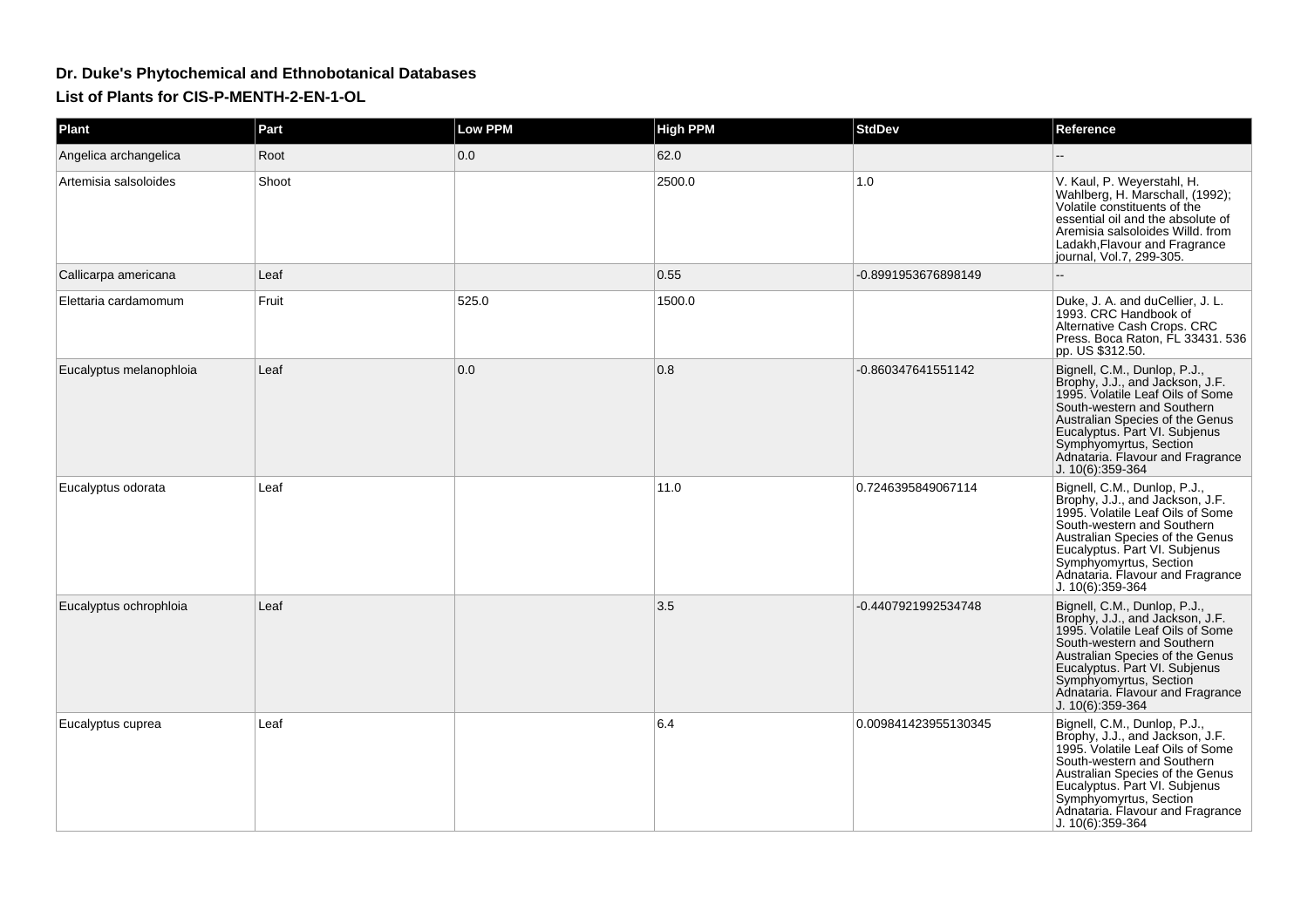## **Dr. Duke's Phytochemical and Ethnobotanical DatabasesList of Plants for CIS-P-MENTH-2-EN-1-OL**

| Plant                   | Part  | <b>Low PPM</b> | <b>High PPM</b> | <b>StdDev</b>        | Reference                                                                                                                                                                                                                                                                               |
|-------------------------|-------|----------------|-----------------|----------------------|-----------------------------------------------------------------------------------------------------------------------------------------------------------------------------------------------------------------------------------------------------------------------------------------|
| Angelica archangelica   | Root  | 0.0            | 62.0            |                      |                                                                                                                                                                                                                                                                                         |
| Artemisia salsoloides   | Shoot |                | 2500.0          | 1.0                  | V. Kaul, P. Weyerstahl, H.<br>Wahlberg, H. Marschall, (1992);<br>Volatile constituents of the<br>essential oil and the absolute of<br>Aremisia salsoloides Willd, from<br>Ladakh, Flavour and Fragrance<br>journal, Vol.7, 299-305.                                                     |
| Callicarpa americana    | Leaf  |                | 0.55            | -0.8991953676898149  |                                                                                                                                                                                                                                                                                         |
| Elettaria cardamomum    | Fruit | 525.0          | 1500.0          |                      | Duke, J. A. and duCellier, J. L.<br>1993. CRC Handbook of<br>Alternative Cash Crops. CRC<br>Press. Boca Raton, FL 33431. 536<br>pp. US \$312.50.                                                                                                                                        |
| Eucalyptus melanophloia | Leaf  | 0.0            | 0.8             | -0.860347641551142   | Bignell, C.M., Dunlop, P.J.,<br>Brophy, J.J., and Jackson, J.F.<br>1995. Volatile Leaf Oils of Some<br>South-western and Southern<br>Australian Species of the Genus<br>Eucalyptus. Part VI. Subjenus<br>Symphyomyrtus, Section<br>Adnataria. Flavour and Fragrance<br>J. 10(6):359-364 |
| Eucalyptus odorata      | Leaf  |                | 11.0            | 0.7246395849067114   | Bignell, C.M., Dunlop, P.J.,<br>Brophy, J.J., and Jackson, J.F.<br>1995. Volatile Leaf Oils of Some<br>South-western and Southern<br>Australian Species of the Genus<br>Eucalyptus. Part VI. Subjenus<br>Symphyomyrtus, Section<br>Adnataria. Flavour and Fragrance<br>J. 10(6):359-364 |
| Eucalyptus ochrophloia  | Leaf  |                | 3.5             | -0.4407921992534748  | Bignell, C.M., Dunlop, P.J.,<br>Brophy, J.J., and Jackson, J.F.<br>1995. Volatile Leaf Oils of Some<br>South-western and Southern<br>Australian Species of the Genus<br>Eucalyptus. Part VI. Subjenus<br>Symphyomyrtus, Section<br>Adnataria. Flavour and Fragrance<br>J. 10(6):359-364 |
| Eucalyptus cuprea       | Leaf  |                | 6.4             | 0.009841423955130345 | Bignell, C.M., Dunlop, P.J.,<br>Brophy, J.J., and Jackson, J.F.<br>1995. Volatile Leaf Oils of Some<br>South-western and Southern<br>Australian Species of the Genus<br>Eucalyptus. Part VI. Subjenus<br>Symphyomyrtus, Section<br>Adnataria. Flavour and Fragrance<br>J. 10(6):359-364 |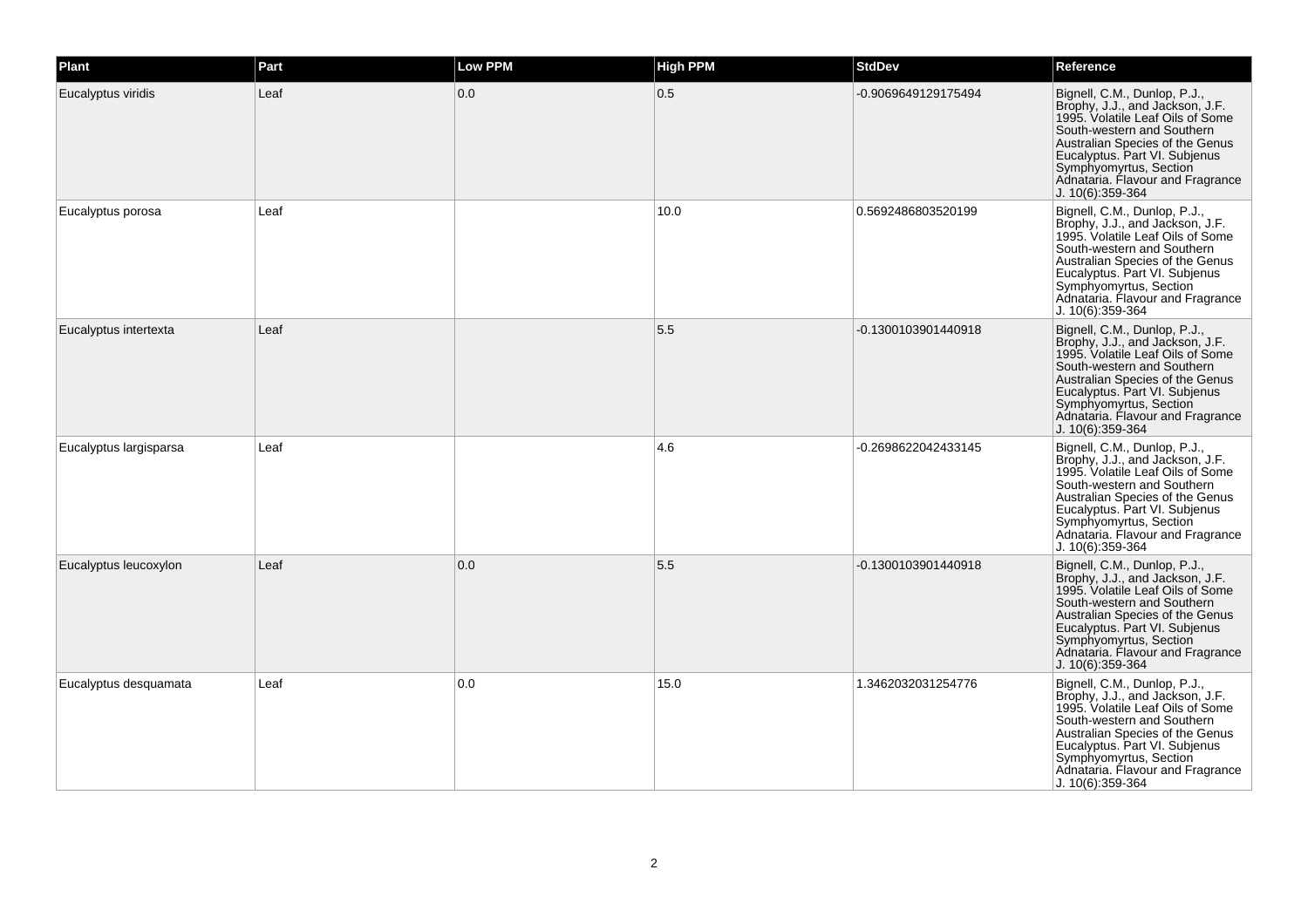| Plant                  | Part | <b>Low PPM</b> | <b>High PPM</b> | <b>StdDev</b>       | Reference                                                                                                                                                                                                                                                                               |
|------------------------|------|----------------|-----------------|---------------------|-----------------------------------------------------------------------------------------------------------------------------------------------------------------------------------------------------------------------------------------------------------------------------------------|
| Eucalyptus viridis     | Leaf | 0.0            | 0.5             | -0.9069649129175494 | Bignell, C.M., Dunlop, P.J.,<br>Brophy, J.J., and Jackson, J.F.<br>1995. Volatile Leaf Oils of Some<br>South-western and Southern<br>Australian Species of the Genus<br>Eucalyptus. Part VI. Subjenus<br>Symphyomyrtus, Section<br>Adnataria. Flavour and Fragrance<br>J. 10(6):359-364 |
| Eucalyptus porosa      | Leaf |                | 10.0            | 0.5692486803520199  | Bignell, C.M., Dunlop, P.J.,<br>Brophy, J.J., and Jackson, J.F.<br>1995. Volatile Leaf Oils of Some<br>South-western and Southern<br>Australian Species of the Genus<br>Eucalyptus. Part VI. Subjenus<br>Symphyomyrtus, Section<br>Adnataria. Flavour and Fragrance<br>J. 10(6):359-364 |
| Eucalyptus intertexta  | Leaf |                | 5.5             | -0.1300103901440918 | Bignell, C.M., Dunlop, P.J.,<br>Brophy, J.J., and Jackson, J.F.<br>1995. Volatile Leaf Oils of Some<br>South-western and Southern<br>Australian Species of the Genus<br>Eucalyptus. Part VI. Subjenus<br>Symphyomyrtus, Section<br>Adnataria. Flavour and Fragrance<br>J. 10(6):359-364 |
| Eucalyptus largisparsa | Leaf |                | 4.6             | -0.2698622042433145 | Bignell, C.M., Dunlop, P.J.,<br>Brophy, J.J., and Jackson, J.F.<br>1995. Volatile Leaf Oils of Some<br>South-western and Southern<br>Australian Species of the Genus<br>Eucalyptus. Part VI. Subjenus<br>Symphyomyrtus, Section<br>Adnataria. Flavour and Fragrance<br>J. 10(6):359-364 |
| Eucalyptus leucoxylon  | Leaf | 0.0            | 5.5             | -0.1300103901440918 | Bignell, C.M., Dunlop, P.J.,<br>Brophy, J.J., and Jackson, J.F.<br>1995. Volatile Leaf Oils of Some<br>South-western and Southern<br>Australian Species of the Genus<br>Eucalyptus. Part VI. Subjenus<br>Symphyomyrtus, Section<br>Adnataria. Flavour and Fragrance<br>J. 10(6):359-364 |
| Eucalyptus desquamata  | Leaf | 0.0            | 15.0            | 1.3462032031254776  | Bignell, C.M., Dunlop, P.J.,<br>Brophy, J.J., and Jackson, J.F.<br>1995. Volatile Leaf Oils of Some<br>South-western and Southern<br>Australian Species of the Genus<br>Eucalyptus. Part VI. Subjenus<br>Symphyomyrtus, Section<br>Adnataria. Flavour and Fragrance<br>J. 10(6):359-364 |